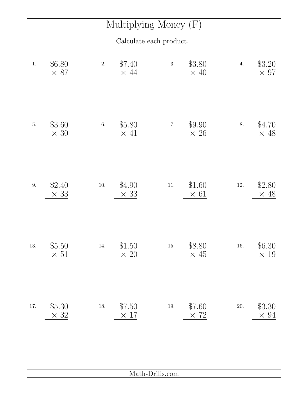## Multiplying Money (F)

Calculate each product.

| $1.$    | \$6.80<br>$\times$ 87 | 2.       | \$7.40<br>$\times$ 44 | 3.       | \$3.80<br>$\times$ 40 | 4.       | \$3.20<br>$\times$ 97 |
|---------|-----------------------|----------|-----------------------|----------|-----------------------|----------|-----------------------|
| $5. \,$ | \$3.60<br>$\times$ 30 | $6. \,$  | \$5.80<br>$\times$ 41 | $7. \,$  | \$9.90<br>$\times 26$ | 8.       | \$4.70<br>$\times$ 48 |
| $9. \,$ | \$2.40<br>$\times$ 33 | $10. \,$ | \$4.90<br>$\times$ 33 | $11. \,$ | \$1.60<br>$\times$ 61 | $12. \,$ | \$2.80<br>$\times$ 48 |
| 13.     | \$5.50<br>$\times 51$ | 14.      | \$1.50<br>$\times 20$ | $15. \,$ | \$8.80<br>$\times$ 45 | $16. \,$ | \$6.30<br>$\times$ 19 |
| 17.     | \$5.30<br>$\times$ 32 | $18. \,$ | \$7.50<br>$\times$ 17 | $19. \,$ | \$7.60<br>$\times$ 72 | $20. \,$ | \$3.30<br>$\times$ 94 |